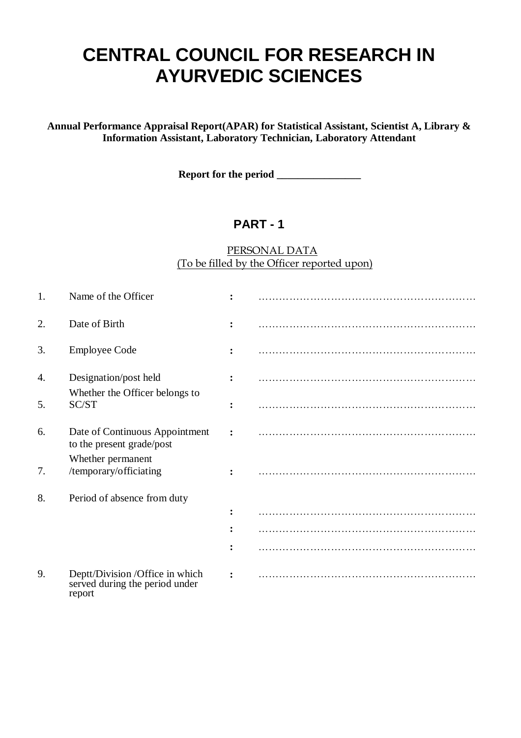# **CENTRAL COUNCIL FOR RESEARCH IN AYURVEDIC SCIENCES**

### **Annual Performance Appraisal Report(APAR) for Statistical Assistant, Scientist A, Library & Information Assistant, Laboratory Technician, Laboratory Attendant**

**Report for the period \_\_\_\_\_\_\_\_\_\_\_\_\_\_\_\_**

# **PART - 1**

## PERSONAL DATA (To be filled by the Officer reported upon)

| 1. | Name of the Officer                                                         |   |  |
|----|-----------------------------------------------------------------------------|---|--|
| 2. | Date of Birth                                                               |   |  |
| 3. | Employee Code                                                               |   |  |
| 4. | Designation/post held                                                       |   |  |
| 5. | Whether the Officer belongs to<br>SC/ST                                     |   |  |
| 6. | Date of Continuous Appointment<br>to the present grade/post                 | ፡ |  |
| 7. | Whether permanent<br>/temporary/officiating                                 |   |  |
| 8. | Period of absence from duty                                                 |   |  |
|    |                                                                             |   |  |
|    |                                                                             |   |  |
|    |                                                                             |   |  |
| 9. | Deptt/Division /Office in which<br>served during the period under<br>report |   |  |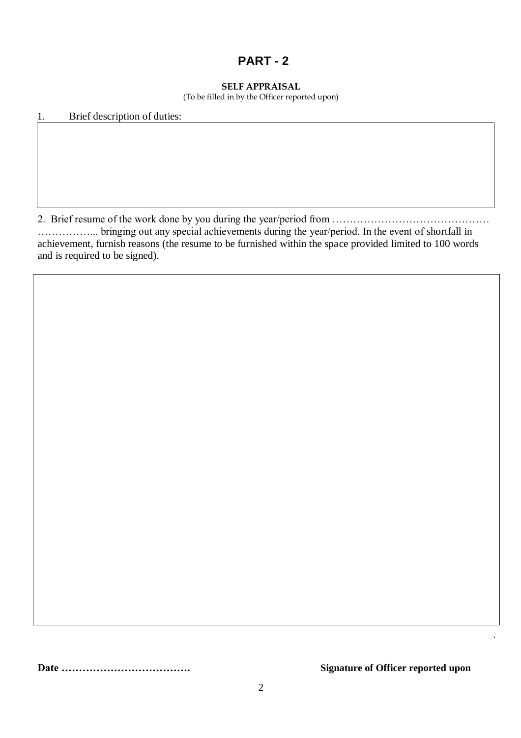#### **SELF APPRAISAL**

(To be filled in by the Officer reported upon)

#### 1. Brief description of duties:

2. Brief resume of the work done by you during the year/period from ……………………………………… ……………... bringing out any special achievements during the year/period. In the event of shortfall in achievement, furnish reasons (the resume to be furnished within the space provided limited to 100 words and is required to be signed).

**Date ………………………………. Signature of Officer reported upon**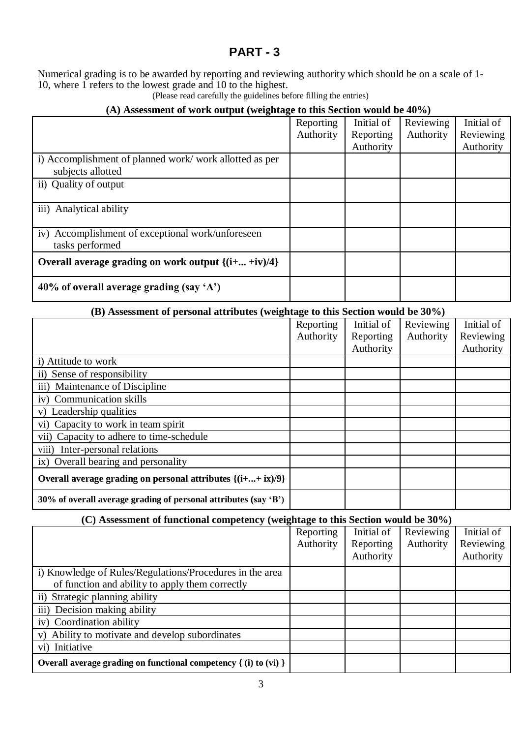Numerical grading is to be awarded by reporting and reviewing authority which should be on a scale of 1- 10, where 1 refers to the lowest grade and 10 to the highest.

(Please read carefully the guidelines before filling the entries)

|                                                        | Reporting | Initial of | Reviewing | Initial of |
|--------------------------------------------------------|-----------|------------|-----------|------------|
|                                                        | Authority | Reporting  | Authority | Reviewing  |
|                                                        |           | Authority  |           | Authority  |
| i) Accomplishment of planned work/work allotted as per |           |            |           |            |
| subjects allotted                                      |           |            |           |            |
| ii) Quality of output                                  |           |            |           |            |
|                                                        |           |            |           |            |
| iii) Analytical ability                                |           |            |           |            |
|                                                        |           |            |           |            |
| iv) Accomplishment of exceptional work/unforeseen      |           |            |           |            |
| tasks performed                                        |           |            |           |            |
| Overall average grading on work output $\{(i++iv)/4\}$ |           |            |           |            |
| 40% of overall average grading $(say 'A')$             |           |            |           |            |

#### **(A) Assessment of work output (weightage to this Section would be 40%)**

#### **(B) Assessment of personal attributes (weightage to this Section would be 30%)**

|                                                                    | Reporting | Initial of | Reviewing | Initial of |
|--------------------------------------------------------------------|-----------|------------|-----------|------------|
|                                                                    | Authority | Reporting  | Authority | Reviewing  |
|                                                                    |           | Authority  |           | Authority  |
| i) Attitude to work                                                |           |            |           |            |
| ii) Sense of responsibility                                        |           |            |           |            |
| iii) Maintenance of Discipline                                     |           |            |           |            |
| iv) Communication skills                                           |           |            |           |            |
| v) Leadership qualities                                            |           |            |           |            |
| vi) Capacity to work in team spirit                                |           |            |           |            |
| vii) Capacity to adhere to time-schedule                           |           |            |           |            |
| viii) Inter-personal relations                                     |           |            |           |            |
| ix) Overall bearing and personality                                |           |            |           |            |
| Overall average grading on personal attributes $\{(i++ix)/9\}$     |           |            |           |            |
| $30\%$ of overall average grading of personal attributes (say 'B') |           |            |           |            |

#### **(C) Assessment of functional competency (weightage to this Section would be 30%)**

|                                                                        | Reporting | Initial of | Reviewing | Initial of |
|------------------------------------------------------------------------|-----------|------------|-----------|------------|
|                                                                        | Authority | Reporting  | Authority | Reviewing  |
|                                                                        |           | Authority  |           | Authority  |
| i) Knowledge of Rules/Regulations/Procedures in the area               |           |            |           |            |
| of function and ability to apply them correctly                        |           |            |           |            |
| ii) Strategic planning ability                                         |           |            |           |            |
| iii) Decision making ability                                           |           |            |           |            |
| iv) Coordination ability                                               |           |            |           |            |
| v) Ability to motivate and develop subordinates                        |           |            |           |            |
| vi) Initiative                                                         |           |            |           |            |
| Overall average grading on functional competency $\{$ (i) to (vi) $\}$ |           |            |           |            |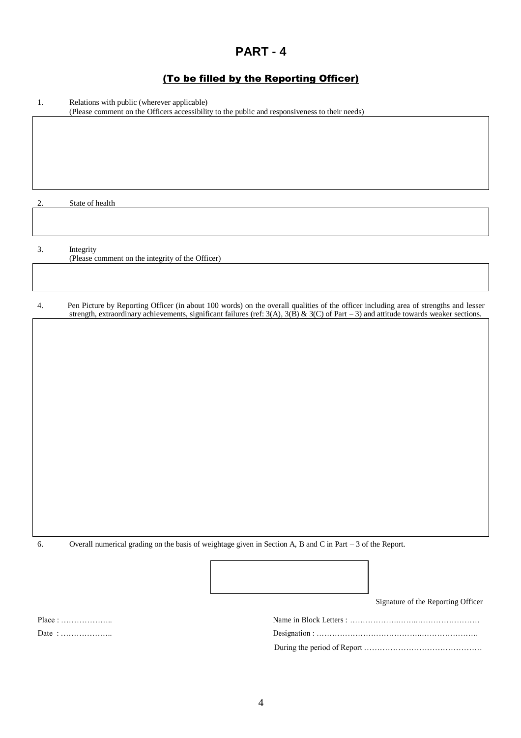## (To be filled by the Reporting Officer)

1. Relations with public (wherever applicable) (Please comment on the Officers accessibility to the public and responsiveness to their needs)

2. State of health

3. Integrity

(Please comment on the integrity of the Officer)

4. Pen Picture by Reporting Officer (in about 100 words) on the overall qualities of the officer including area of strengths and lesser strength, extraordinary achievements, significant failures (ref:  $3(A)$ ,  $3(B)$  &  $3(C)$  of Part – 3) and attitude towards weaker sections.

6. Overall numerical grading on the basis of weightage given in Section A, B and C in Part – 3 of the Report.

Signature of the Reporting Officer

Place : …………………

Date : ……………………